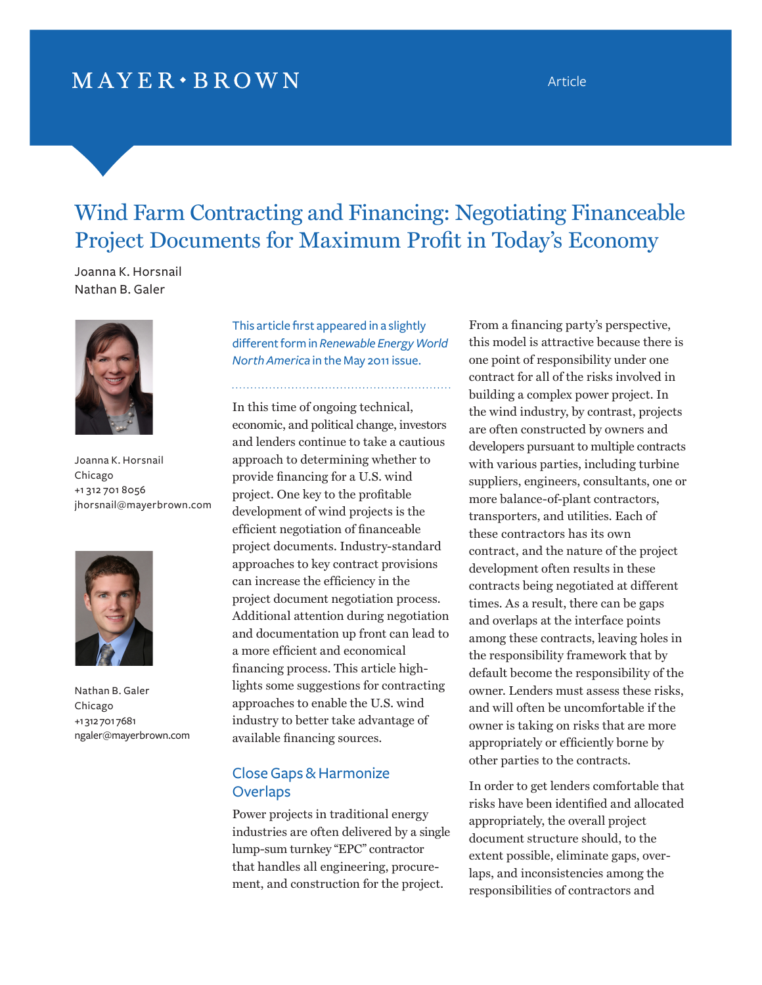## $MAYER \cdot BROWN$

Article

# Wind Farm Contracting and Financing: Negotiating Financeable Project Documents for Maximum Profit in Today's Economy

. . . . . . . . . .

Joanna K. Horsnail Nathan B. Galer



Joanna K. Horsnail Chicago +1 312 701 8056 [jhorsnail@mayerbrown.com](mailto:jhorsnail@mayerbrown.com) 



Nathan B. Galer Chicago +1 312 701 7681 [ngaler@mayerbrown.com](mailto:ngaler@mayerbrown.com)

This article first appeared in a slightly different form in *Renewable Energy World North America* in the May 2011 issue.

In this time of ongoing technical, economic, and political change, investors and lenders continue to take a cautious approach to determining whether to provide financing for a U.S. wind project. One key to the profitable development of wind projects is the efficient negotiation of financeable project documents. Industry-standard approaches to key contract provisions can increase the efficiency in the project document negotiation process. Additional attention during negotiation and documentation up front can lead to a more efficient and economical financing process. This article highlights some suggestions for contracting approaches to enable the U.S. wind industry to better take advantage of available financing sources.

## Close Gaps & Harmonize **Overlaps**

Power projects in traditional energy industries are often delivered by a single lump-sum turnkey "EPC" contractor that handles all engineering, procurement, and construction for the project.

From a financing party's perspective, this model is attractive because there is one point of responsibility under one contract for all of the risks involved in building a complex power project. In the wind industry, by contrast, projects are often constructed by owners and developers pursuant to multiple contracts with various parties, including turbine suppliers, engineers, consultants, one or more balance-of-plant contractors, transporters, and utilities. Each of these contractors has its own contract, and the nature of the project development often results in these contracts being negotiated at different times. As a result, there can be gaps and overlaps at the interface points among these contracts, leaving holes in the responsibility framework that by default become the responsibility of the owner. Lenders must assess these risks, and will often be uncomfortable if the owner is taking on risks that are more appropriately or efficiently borne by other parties to the contracts.

In order to get lenders comfortable that risks have been identified and allocated appropriately, the overall project document structure should, to the extent possible, eliminate gaps, overlaps, and inconsistencies among the responsibilities of contractors and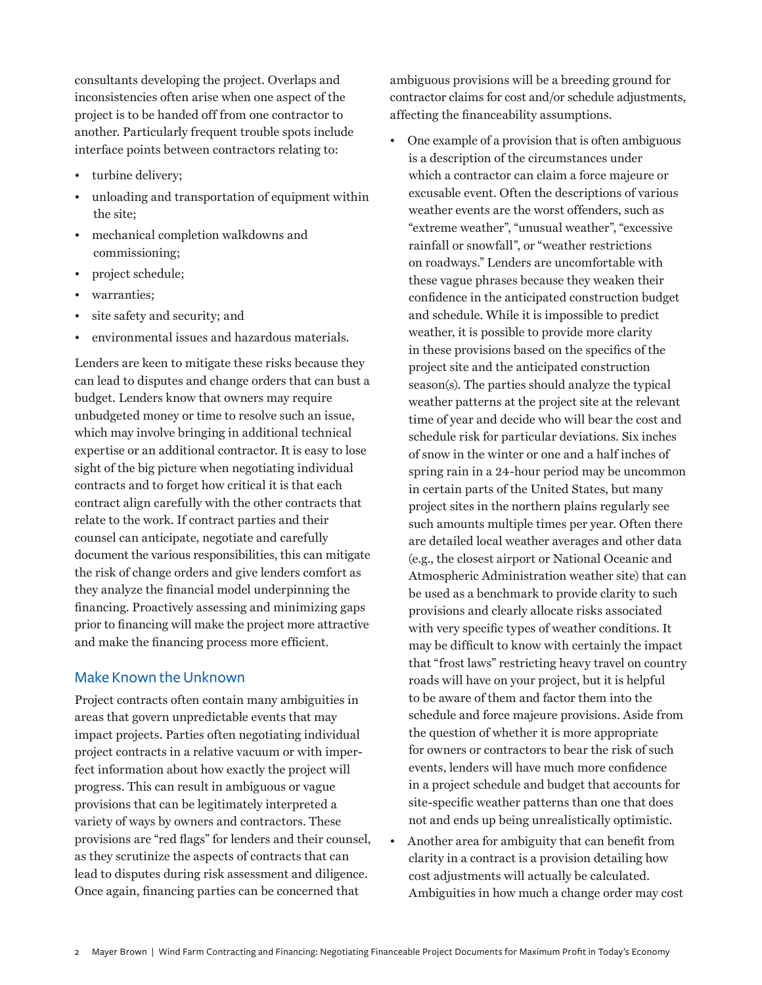consultants developing the project. Overlaps and inconsistencies often arise when one aspect of the project is to be handed off from one contractor to another. Particularly frequent trouble spots include interface points between contractors relating to:

- turbine delivery;
- unloading and transportation of equipment within the site;
- mechanical completion walkdowns and commissioning;
- project schedule;
- warranties;
- site safety and security; and
- environmental issues and hazardous materials.

Lenders are keen to mitigate these risks because they can lead to disputes and change orders that can bust a budget. Lenders know that owners may require unbudgeted money or time to resolve such an issue, which may involve bringing in additional technical expertise or an additional contractor. It is easy to lose sight of the big picture when negotiating individual contracts and to forget how critical it is that each contract align carefully with the other contracts that relate to the work. If contract parties and their counsel can anticipate, negotiate and carefully document the various responsibilities, this can mitigate the risk of change orders and give lenders comfort as they analyze the financial model underpinning the financing. Proactively assessing and minimizing gaps prior to financing will make the project more attractive and make the financing process more efficient.

#### Make Known the Unknown

Project contracts often contain many ambiguities in areas that govern unpredictable events that may impact projects. Parties often negotiating individual project contracts in a relative vacuum or with imperfect information about how exactly the project will progress. This can result in ambiguous or vague provisions that can be legitimately interpreted a variety of ways by owners and contractors. These provisions are "red flags" for lenders and their counsel, as they scrutinize the aspects of contracts that can lead to disputes during risk assessment and diligence. Once again, financing parties can be concerned that

ambiguous provisions will be a breeding ground for contractor claims for cost and/or schedule adjustments, affecting the financeability assumptions.

- One example of a provision that is often ambiguous is a description of the circumstances under which a contractor can claim a force majeure or excusable event. Often the descriptions of various weather events are the worst offenders, such as "extreme weather", "unusual weather", "excessive rainfall or snowfall", or "weather restrictions on roadways." Lenders are uncomfortable with these vague phrases because they weaken their confidence in the anticipated construction budget and schedule. While it is impossible to predict weather, it is possible to provide more clarity in these provisions based on the specifics of the project site and the anticipated construction season(s). The parties should analyze the typical weather patterns at the project site at the relevant time of year and decide who will bear the cost and schedule risk for particular deviations. Six inches of snow in the winter or one and a half inches of spring rain in a 24-hour period may be uncommon in certain parts of the United States, but many project sites in the northern plains regularly see such amounts multiple times per year. Often there are detailed local weather averages and other data (e.g., the closest airport or National Oceanic and Atmospheric Administration weather site) that can be used as a benchmark to provide clarity to such provisions and clearly allocate risks associated with very specific types of weather conditions. It may be difficult to know with certainly the impact that "frost laws" restricting heavy travel on country roads will have on your project, but it is helpful to be aware of them and factor them into the schedule and force majeure provisions. Aside from the question of whether it is more appropriate for owners or contractors to bear the risk of such events, lenders will have much more confidence in a project schedule and budget that accounts for site-specific weather patterns than one that does not and ends up being unrealistically optimistic.
- Another area for ambiguity that can benefit from clarity in a contract is a provision detailing how cost adjustments will actually be calculated. Ambiguities in how much a change order may cost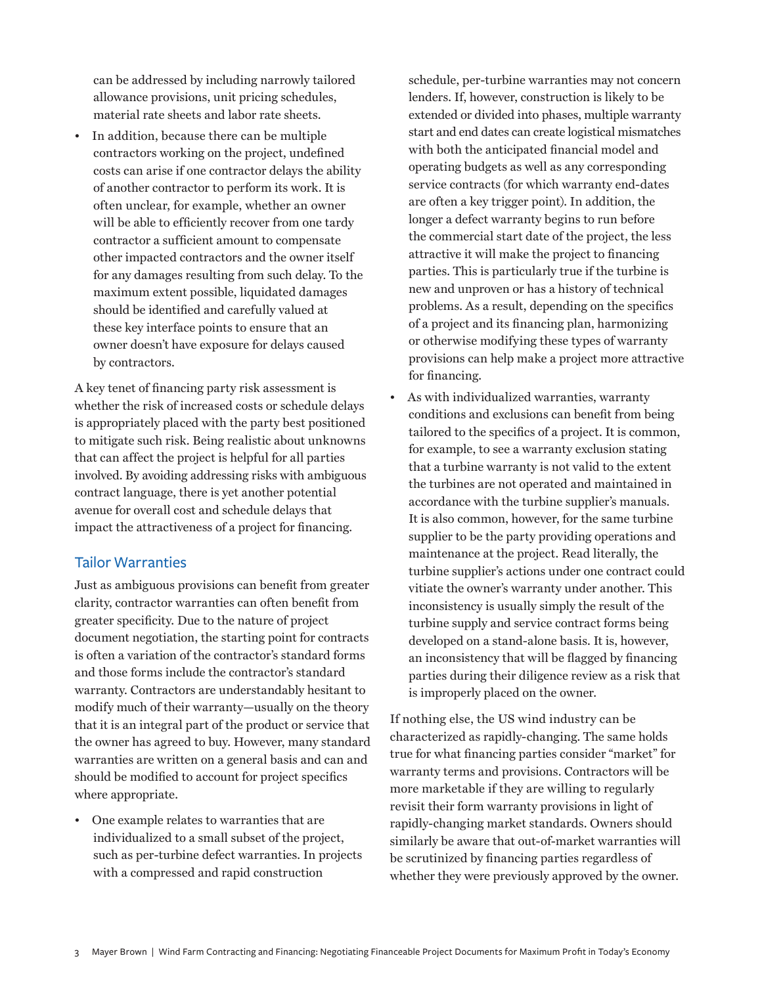can be addressed by including narrowly tailored allowance provisions, unit pricing schedules, material rate sheets and labor rate sheets.

• In addition, because there can be multiple contractors working on the project, undefined costs can arise if one contractor delays the ability of another contractor to perform its work. It is often unclear, for example, whether an owner will be able to efficiently recover from one tardy contractor a sufficient amount to compensate other impacted contractors and the owner itself for any damages resulting from such delay. To the maximum extent possible, liquidated damages should be identified and carefully valued at these key interface points to ensure that an owner doesn't have exposure for delays caused by contractors.

A key tenet of financing party risk assessment is whether the risk of increased costs or schedule delays is appropriately placed with the party best positioned to mitigate such risk. Being realistic about unknowns that can affect the project is helpful for all parties involved. By avoiding addressing risks with ambiguous contract language, there is yet another potential avenue for overall cost and schedule delays that impact the attractiveness of a project for financing.

## Tailor Warranties

Just as ambiguous provisions can benefit from greater clarity, contractor warranties can often benefit from greater specificity. Due to the nature of project document negotiation, the starting point for contracts is often a variation of the contractor's standard forms and those forms include the contractor's standard warranty. Contractors are understandably hesitant to modify much of their warranty—usually on the theory that it is an integral part of the product or service that the owner has agreed to buy. However, many standard warranties are written on a general basis and can and should be modified to account for project specifics where appropriate.

• One example relates to warranties that are individualized to a small subset of the project, such as per-turbine defect warranties. In projects with a compressed and rapid construction

schedule, per-turbine warranties may not concern lenders. If, however, construction is likely to be extended or divided into phases, multiple warranty start and end dates can create logistical mismatches with both the anticipated financial model and operating budgets as well as any corresponding service contracts (for which warranty end-dates are often a key trigger point). In addition, the longer a defect warranty begins to run before the commercial start date of the project, the less attractive it will make the project to financing parties. This is particularly true if the turbine is new and unproven or has a history of technical problems. As a result, depending on the specifics of a project and its financing plan, harmonizing or otherwise modifying these types of warranty provisions can help make a project more attractive for financing.

• As with individualized warranties, warranty conditions and exclusions can benefit from being tailored to the specifics of a project. It is common, for example, to see a warranty exclusion stating that a turbine warranty is not valid to the extent the turbines are not operated and maintained in accordance with the turbine supplier's manuals. It is also common, however, for the same turbine supplier to be the party providing operations and maintenance at the project. Read literally, the turbine supplier's actions under one contract could vitiate the owner's warranty under another. This inconsistency is usually simply the result of the turbine supply and service contract forms being developed on a stand-alone basis. It is, however, an inconsistency that will be flagged by financing parties during their diligence review as a risk that is improperly placed on the owner.

If nothing else, the US wind industry can be characterized as rapidly-changing. The same holds true for what financing parties consider "market" for warranty terms and provisions. Contractors will be more marketable if they are willing to regularly revisit their form warranty provisions in light of rapidly-changing market standards. Owners should similarly be aware that out-of-market warranties will be scrutinized by financing parties regardless of whether they were previously approved by the owner.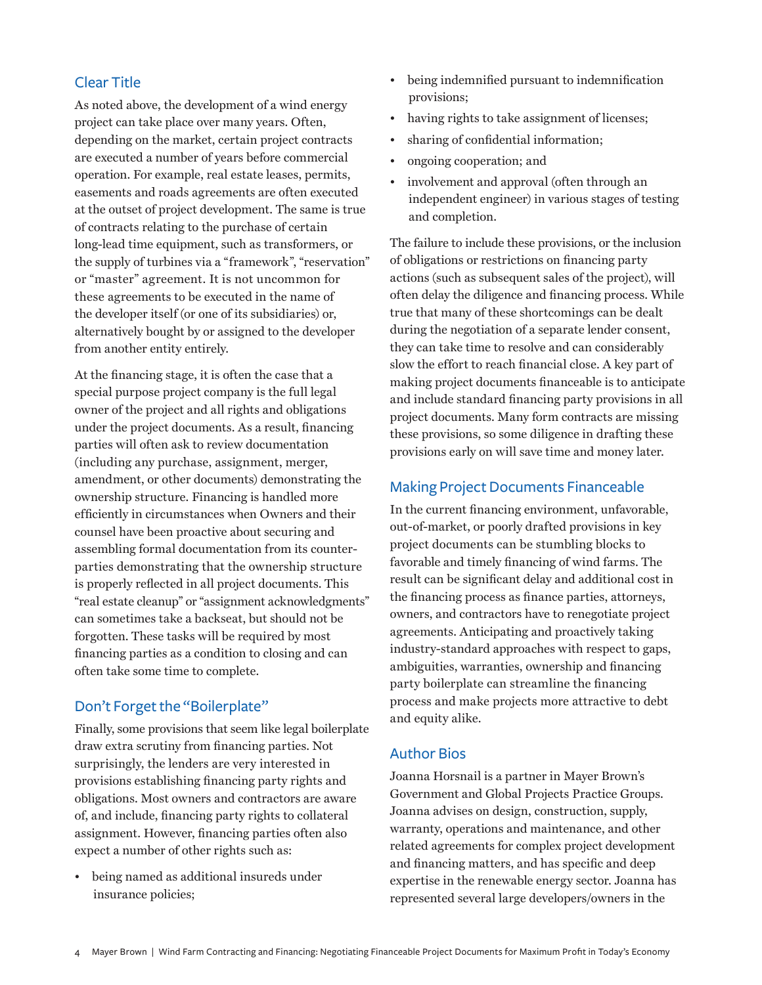### Clear Title

As noted above, the development of a wind energy project can take place over many years. Often, depending on the market, certain project contracts are executed a number of years before commercial operation. For example, real estate leases, permits, easements and roads agreements are often executed at the outset of project development. The same is true of contracts relating to the purchase of certain long-lead time equipment, such as transformers, or the supply of turbines via a "framework", "reservation" or "master" agreement. It is not uncommon for these agreements to be executed in the name of the developer itself (or one of its subsidiaries) or, alternatively bought by or assigned to the developer from another entity entirely.

At the financing stage, it is often the case that a special purpose project company is the full legal owner of the project and all rights and obligations under the project documents. As a result, financing parties will often ask to review documentation (including any purchase, assignment, merger, amendment, or other documents) demonstrating the ownership structure. Financing is handled more efficiently in circumstances when Owners and their counsel have been proactive about securing and assembling formal documentation from its counterparties demonstrating that the ownership structure is properly reflected in all project documents. This "real estate cleanup" or "assignment acknowledgments" can sometimes take a backseat, but should not be forgotten. These tasks will be required by most financing parties as a condition to closing and can often take some time to complete.

#### Don't Forget the "Boilerplate"

Finally, some provisions that seem like legal boilerplate draw extra scrutiny from financing parties. Not surprisingly, the lenders are very interested in provisions establishing financing party rights and obligations. Most owners and contractors are aware of, and include, financing party rights to collateral assignment. However, financing parties often also expect a number of other rights such as:

• being named as additional insureds under insurance policies;

- being indemnified pursuant to indemnification provisions;
- having rights to take assignment of licenses;
- sharing of confidential information;
- ongoing cooperation; and
- involvement and approval (often through an independent engineer) in various stages of testing and completion.

The failure to include these provisions, or the inclusion of obligations or restrictions on financing party actions (such as subsequent sales of the project), will often delay the diligence and financing process. While true that many of these shortcomings can be dealt during the negotiation of a separate lender consent, they can take time to resolve and can considerably slow the effort to reach financial close. A key part of making project documents financeable is to anticipate and include standard financing party provisions in all project documents. Many form contracts are missing these provisions, so some diligence in drafting these provisions early on will save time and money later.

### Making Project Documents Financeable

In the current financing environment, unfavorable, out-of-market, or poorly drafted provisions in key project documents can be stumbling blocks to favorable and timely financing of wind farms. The result can be significant delay and additional cost in the financing process as finance parties, attorneys, owners, and contractors have to renegotiate project agreements. Anticipating and proactively taking industry-standard approaches with respect to gaps, ambiguities, warranties, ownership and financing party boilerplate can streamline the financing process and make projects more attractive to debt and equity alike.

#### Author Bios

Joanna Horsnail is a partner in Mayer Brown's Government and Global Projects Practice Groups. Joanna advises on design, construction, supply, warranty, operations and maintenance, and other related agreements for complex project development and financing matters, and has specific and deep expertise in the renewable energy sector. Joanna has represented several large developers/owners in the